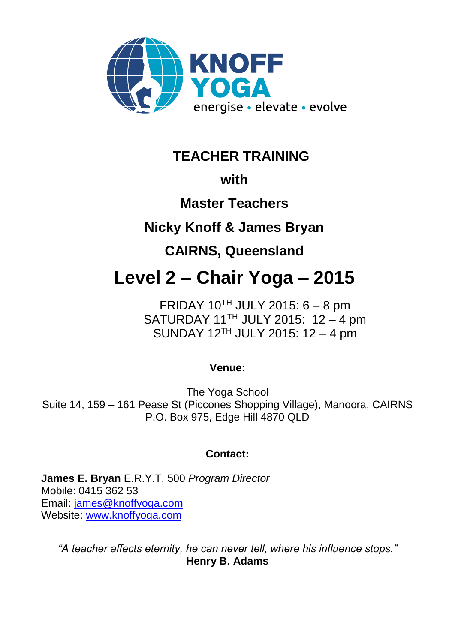

**TEACHER TRAINING**

# **with**

# **Master Teachers**

# **Nicky Knoff & James Bryan**

# **CAIRNS, Queensland**

# **Level 2 – Chair Yoga – 2015**

FRIDAY  $10^{TH}$  JULY 2015: 6 – 8 pm SATURDAY 11<sup>TH</sup> JULY 2015: 12 - 4 pm SUNDAY 12TH JULY 2015: 12 – 4 pm

# **Venue:**

The Yoga School Suite 14, 159 – 161 Pease St (Piccones Shopping Village), Manoora, CAIRNS P.O. Box 975, Edge Hill 4870 QLD

# **Contact:**

**James E. Bryan** E.R.Y.T. 500 *Program Director*  Mobile: 0415 362 53 Email: [james@knoffyoga.com](mailto:james@knoffyoga.com) Website: [www.knoffyoga.com](http://www.knoffyoga.com/)

*"A teacher affects eternity, he can never tell, where his influence stops."* **Henry B. Adams**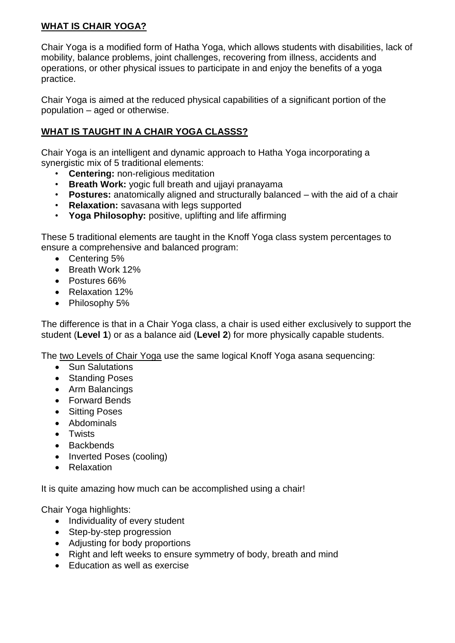#### **WHAT IS CHAIR YOGA?**

Chair Yoga is a modified form of Hatha Yoga, which allows students with disabilities, lack of mobility, balance problems, joint challenges, recovering from illness, accidents and operations, or other physical issues to participate in and enjoy the benefits of a yoga practice.

Chair Yoga is aimed at the reduced physical capabilities of a significant portion of the population – aged or otherwise.

#### **WHAT IS TAUGHT IN A CHAIR YOGA CLASSS?**

Chair Yoga is an intelligent and dynamic approach to Hatha Yoga incorporating a synergistic mix of 5 traditional elements:

- **Centering:** non-religious meditation
- **Breath Work:** yogic full breath and ujjayi pranayama
- **Postures:** anatomically aligned and structurally balanced with the aid of a chair
- **Relaxation:** savasana with legs supported
- **Yoga Philosophy:** positive, uplifting and life affirming

These 5 traditional elements are taught in the Knoff Yoga class system percentages to ensure a comprehensive and balanced program:

- Centering 5%
- Breath Work 12%
- Postures 66%
- Relaxation 12%
- Philosophy 5%

The difference is that in a Chair Yoga class, a chair is used either exclusively to support the student (**Level 1**) or as a balance aid (**Level 2**) for more physically capable students.

The two Levels of Chair Yoga use the same logical Knoff Yoga asana sequencing:

- Sun Salutations
- Standing Poses
- Arm Balancings
- Forward Bends
- Sitting Poses
- Abdominals
- Twists
- Backbends
- Inverted Poses (cooling)
- Relaxation

It is quite amazing how much can be accomplished using a chair!

Chair Yoga highlights:

- Individuality of every student
- Step-by-step progression
- Adjusting for body proportions
- Right and left weeks to ensure symmetry of body, breath and mind
- Fducation as well as exercise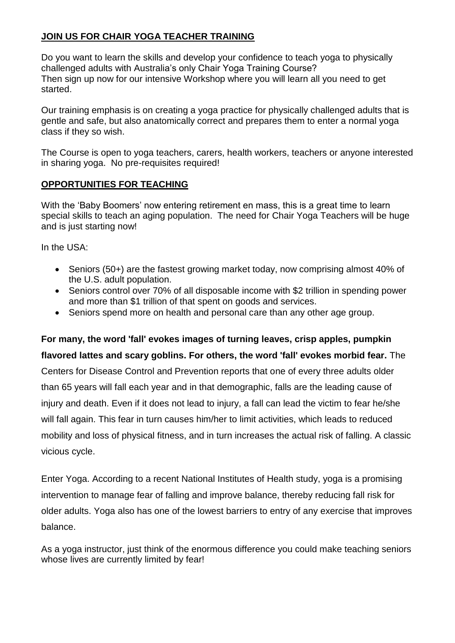#### **JOIN US FOR CHAIR YOGA TEACHER TRAINING**

Do you want to learn the skills and develop your confidence to teach yoga to physically challenged adults with Australia's only Chair Yoga Training Course? Then sign up now for our intensive Workshop where you will learn all you need to get started.

Our training emphasis is on creating a yoga practice for physically challenged adults that is gentle and safe, but also anatomically correct and prepares them to enter a normal yoga class if they so wish.

The Course is open to yoga teachers, carers, health workers, teachers or anyone interested in sharing yoga. No pre-requisites required!

#### **OPPORTUNITIES FOR TEACHING**

With the 'Baby Boomers' now entering retirement en mass, this is a great time to learn special skills to teach an aging population. The need for Chair Yoga Teachers will be huge and is just starting now!

In the USA:

- Seniors (50+) are the fastest growing market today, now comprising almost 40% of the U.S. adult population.
- Seniors control over 70% of all disposable income with \$2 trillion in spending power and more than \$1 trillion of that spent on goods and services.
- Seniors spend more on health and personal care than any other age group.

#### **For many, the word 'fall' evokes images of turning leaves, crisp apples, pumpkin**

#### **flavored lattes and scary goblins. For others, the word 'fall' evokes morbid fear.** The

Centers for Disease Control and Prevention reports that one of every three adults older than 65 years will fall each year and in that demographic, falls are the leading cause of injury and death. Even if it does not lead to injury, a fall can lead the victim to fear he/she will fall again. This fear in turn causes him/her to limit activities, which leads to reduced mobility and loss of physical fitness, and in turn increases the actual risk of falling. A classic vicious cycle.

Enter Yoga. According to a recent National Institutes of Health study, yoga is a promising intervention to manage fear of falling and improve balance, thereby reducing fall risk for older adults. Yoga also has one of the lowest barriers to entry of any exercise that improves balance.

As a yoga instructor, just think of the enormous difference you could make teaching seniors whose lives are currently limited by fear!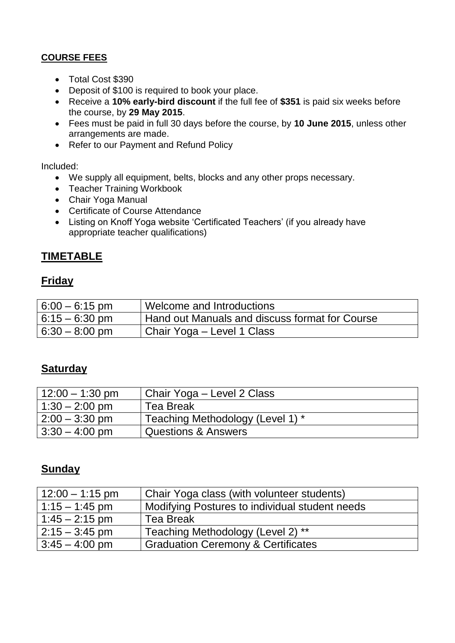### **COURSE FEES**

- Total Cost \$390
- Deposit of \$100 is required to book your place.
- Receive a **10% early-bird discount** if the full fee of **\$351** is paid six weeks before the course, by **29 May 2015**.
- Fees must be paid in full 30 days before the course, by **10 June 2015**, unless other arrangements are made.
- Refer to our Payment and Refund Policy

#### Included:

- We supply all equipment, belts, blocks and any other props necessary.
- Teacher Training Workbook
- Chair Yoga Manual
- Certificate of Course Attendance
- Listing on Knoff Yoga website 'Certificated Teachers' (if you already have appropriate teacher qualifications)

## **TIMETABLE**

## **Friday**

| $6:00 - 6:15$ pm | Welcome and Introductions                      |
|------------------|------------------------------------------------|
| $6:15 - 6:30$ pm | Hand out Manuals and discuss format for Course |
| $6:30 - 8:00$ pm | ' Chair Yoga – Level 1 Class                   |

## **Saturday**

| $12:00 - 1:30$ pm | Chair Yoga – Level 2 Class       |
|-------------------|----------------------------------|
| $1:30 - 2:00$ pm  | <b>Tea Break</b>                 |
| $2:00 - 3:30$ pm  | Teaching Methodology (Level 1) * |
| $3:30 - 4:00$ pm  | <b>Questions &amp; Answers</b>   |

## **Sunday**

| $12:00 - 1:15$ pm        | Chair Yoga class (with volunteer students)     |
|--------------------------|------------------------------------------------|
| $1:15 - 1:45$ pm         | Modifying Postures to individual student needs |
| $1:45 - 2:15$ pm         | <b>Tea Break</b>                               |
| $12:15 - 3:45$ pm        | Teaching Methodology (Level 2) **              |
| $3:45 - 4:00 \text{ pm}$ | <b>Graduation Ceremony &amp; Certificates</b>  |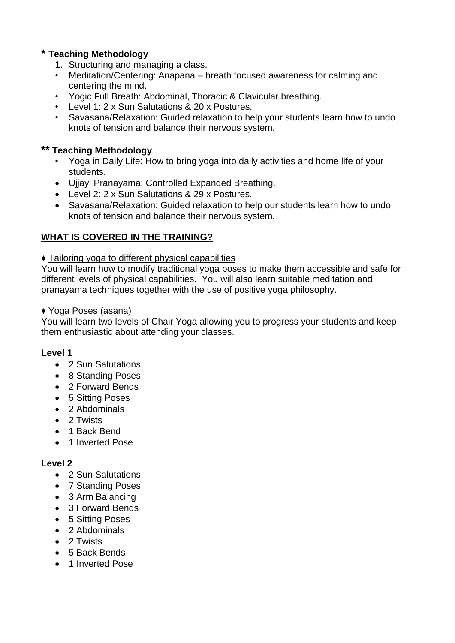#### **\* Teaching Methodology**

- 1. Structuring and managing a class.
- Meditation/Centering: Anapana breath focused awareness for calming and centering the mind.
- Yogic Full Breath: Abdominal, Thoracic & Clavicular breathing.
- Level 1: 2 x Sun Salutations & 20 x Postures.
- Savasana/Relaxation: Guided relaxation to help your students learn how to undo knots of tension and balance their nervous system.

#### **\*\* Teaching Methodology**

- Yoga in Daily Life: How to bring yoga into daily activities and home life of your students.
- Ujjayi Pranayama: Controlled Expanded Breathing.
- Level 2: 2 x Sun Salutations & 29 x Postures.
- Savasana/Relaxation: Guided relaxation to help our students learn how to undo knots of tension and balance their nervous system.

#### **WHAT IS COVERED IN THE TRAINING?**

#### ♦ Tailoring yoga to different physical capabilities

You will learn how to modify traditional yoga poses to make them accessible and safe for different levels of physical capabilities. You will also learn suitable meditation and pranayama techniques together with the use of positive yoga philosophy.

#### ♦ Yoga Poses (asana)

You will learn two levels of Chair Yoga allowing you to progress your students and keep them enthusiastic about attending your classes.

#### **Level 1**

- 2 Sun Salutations
- 8 Standing Poses
- 2 Forward Bends
- 5 Sitting Poses
- 2 Abdominals
- 2 Twists
- 1 Back Bend
- 1 Inverted Pose

#### **Level 2**

- 2 Sun Salutations
- 7 Standing Poses
- 3 Arm Balancing
- 3 Forward Bends
- 5 Sitting Poses
- 2 Abdominals
- 2 Twists
- 5 Back Bends
- 1 Inverted Pose